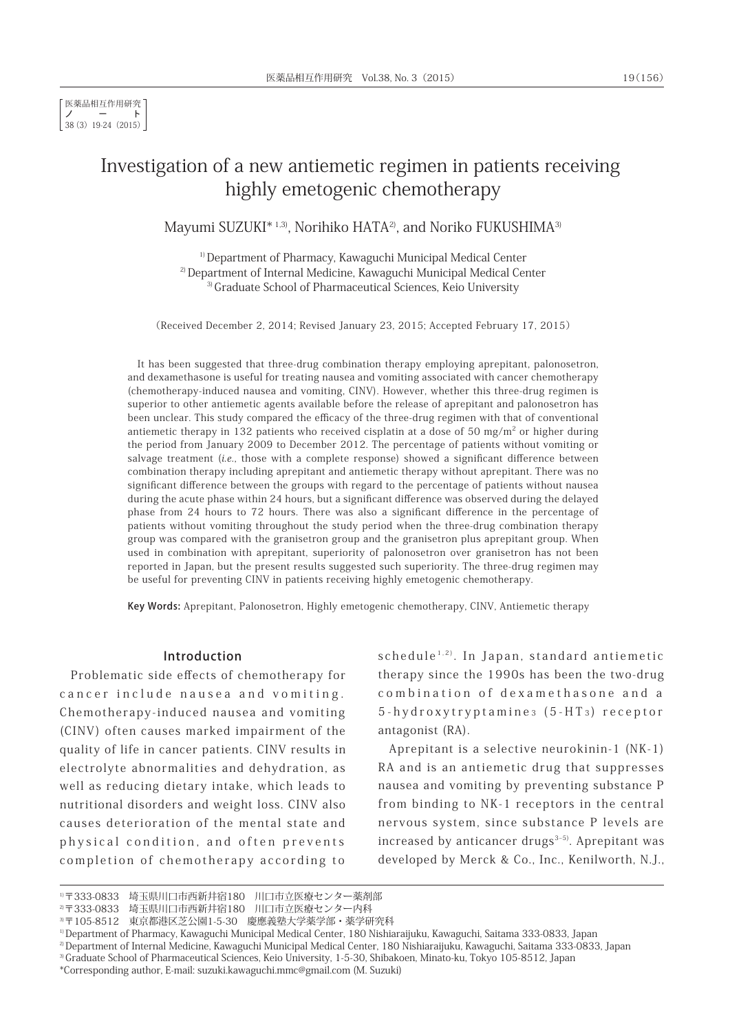# Investigation of a new antiemetic regimen in patients receiving highly emetogenic chemotherapy

Mayumi SUZUKI\*<sup>1,3)</sup>, Norihiko HATA<sup>2)</sup>, and Noriko FUKUSHIMA<sup>3)</sup>

1) Department of Pharmacy, Kawaguchi Municipal Medical Center 2) Department of Internal Medicine, Kawaguchi Municipal Medical Center <sup>3)</sup> Graduate School of Pharmaceutical Sciences, Keio University

(Received December 2, 2014; Revised January 23, 2015; Accepted February 17, 2015)

It has been suggested that three-drug combination therapy employing aprepitant, palonosetron, and dexamethasone is useful for treating nausea and vomiting associated with cancer chemotherapy (chemotherapy-induced nausea and vomiting, CINV). However, whether this three-drug regimen is superior to other antiemetic agents available before the release of aprepitant and palonosetron has been unclear. This study compared the efficacy of the three-drug regimen with that of conventional antiemetic therapy in 132 patients who received cisplatin at a dose of 50 mg/m<sup>2</sup> or higher during the period from January 2009 to December 2012. The percentage of patients without vomiting or salvage treatment (i.e., those with a complete response) showed a significant difference between combination therapy including aprepitant and antiemetic therapy without aprepitant. There was no significant difference between the groups with regard to the percentage of patients without nausea during the acute phase within 24 hours, but a significant difference was observed during the delayed phase from 24 hours to 72 hours. There was also a significant difference in the percentage of patients without vomiting throughout the study period when the three-drug combination therapy group was compared with the granisetron group and the granisetron plus aprepitant group. When used in combination with aprepitant, superiority of palonosetron over granisetron has not been reported in Japan, but the present results suggested such superiority. The three-drug regimen may be useful for preventing CINV in patients receiving highly emetogenic chemotherapy.

Key Words: Aprepitant, Palonosetron, Highly emetogenic chemotherapy, CINV, Antiemetic therapy

### Introduction

Problematic side effects of chemotherapy for cancer include nausea and vomiting. Chemotherapy-induced nausea and vomiting (CINV) often causes marked impairment of the quality of life in cancer patients. CINV results in electrolyte abnormalities and dehydration, as well as reducing dietary intake, which leads to nutritional disorders and weight loss. CINV also causes deterioration of the mental state and physical condition, and often prevents completion of chemotherapy according to

schedule<sup>1,2)</sup>. In Japan, standard antiemetic therapy since the 1990s has been the two-drug combination of dexamethasone and a 5-hydroxytryptamine 3 (5-HT <sup>3</sup> ) receptor antagonist (RA).

Aprepitant is a selective neurokinin-1 (NK-1) RA and is an antiemetic drug that suppresses nausea and vomiting by preventing substance P from binding to NK-1 receptors in the central nervous system, since substance P levels are increased by anticancer drugs $3-5$ ). Aprepitant was developed by Merck & Co., Inc., Kenilworth, N.J.,

<sup>1)〒333-0833</sup> 埼玉県川口市西新井宿180 川口市立医療センター薬剤部

<sup>2)〒333-0833</sup> 埼玉県川口市西新井宿180 川口市立医療センター内科

<sup>3)〒105-8512</sup> 東京都港区芝公園1-5-30 慶應義塾大学薬学部・薬学研究科

<sup>1)</sup> Department of Pharmacy, Kawaguchi Municipal Medical Center, 180 Nishiaraijuku, Kawaguchi, Saitama 333-0833, Japan

<sup>2)</sup> Department of Internal Medicine, Kawaguchi Municipal Medical Center, 180 Nishiaraijuku, Kawaguchi, Saitama 333-0833, Japan

<sup>3)</sup> Graduate School of Pharmaceutical Sciences, Keio University, 1-5-30, Shibakoen, Minato-ku, Tokyo 105-8512, Japan

<sup>\*</sup>Corresponding author, E-mail: suzuki.kawaguchi.mmc@gmail.com (M. Suzuki)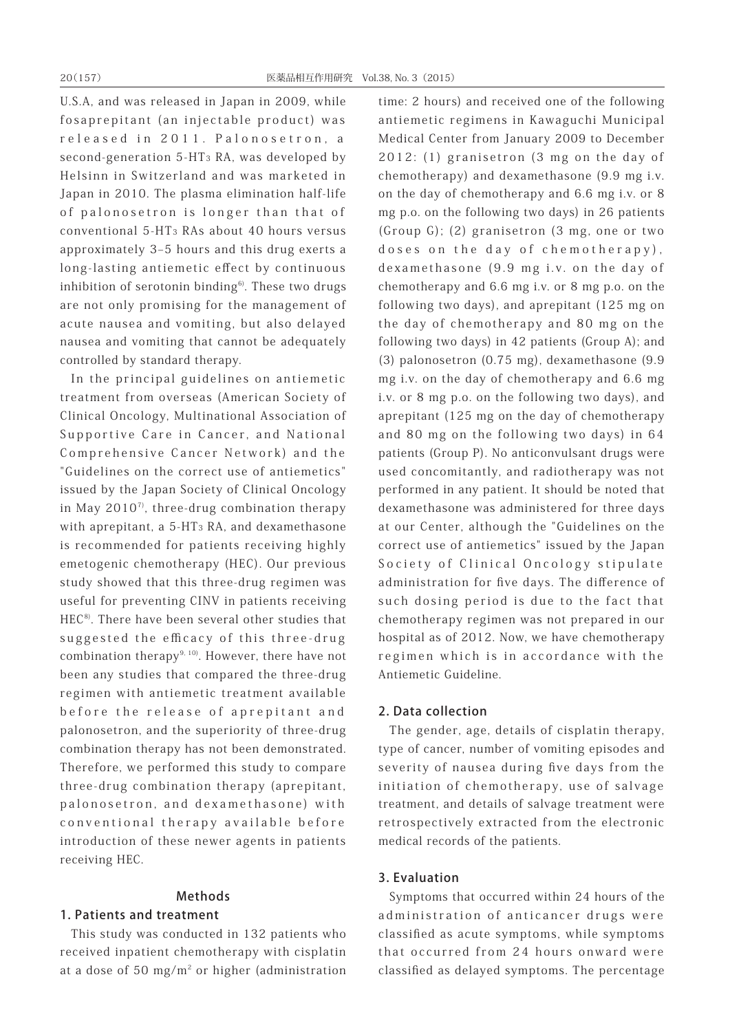U.S.A, and was released in Japan in 2009, while fosaprepitant (an injectable product) was released in 2011. Palonosetron, a second-generation 5-HT3 RA, was developed by Helsinn in Switzerland and was marketed in Japan in 2010. The plasma elimination half-life of palonosetron is longer than that of conventional 5-HT3 RAs about 40 hours versus approximately 3-5 hours and this drug exerts a long-lasting antiemetic effect by continuous inhibition of serotonin binding $6$ . These two drugs are not only promising for the management of acute nausea and vomiting, but also delayed nausea and vomiting that cannot be adequately controlled by standard therapy.

In the principal guidelines on antiemetic treatment from overseas (American Society of Clinical Oncology, Multinational Association of Supportive Care in Cancer, and National Comprehensive Cancer Network) and the "Guidelines on the correct use of antiemetics" issued by the Japan Society of Clinical Oncology in May 2010<sup>7</sup>, three-drug combination therapy with aprepitant, a 5-HT3 RA, and dexamethasone is recommended for patients receiving highly emetogenic chemotherapy (HEC). Our previous study showed that this three-drug regimen was useful for preventing CINV in patients receiving HEC<sup>8)</sup>. There have been several other studies that suggested the efficacy of this three-drug combination therapy $9, 10$ . However, there have not been any studies that compared the three-drug regimen with antiemetic treatment available before the release of aprepitant and palonosetron, and the superiority of three-drug combination therapy has not been demonstrated. Therefore, we performed this study to compare three-drug combination therapy (aprepitant, palonosetron, and dexamethasone) with conventional therapy available before introduction of these newer agents in patients receiving HEC.

# Methods

# 1. Patients and treatment

This study was conducted in 132 patients who received inpatient chemotherapy with cisplatin at a dose of 50 mg/m<sup>2</sup> or higher (administration time: 2 hours) and received one of the following antiemetic regimens in Kawaguchi Municipal Medical Center from January 2009 to December 2012: (1) granisetron (3 mg on the day of chemotherapy) and dexamethasone (9.9 mg i.v. on the day of chemotherapy and 6.6 mg i.v. or 8 mg p.o. on the following two days) in 26 patients (Group G); (2) granisetron (3 mg, one or two doses on the day of chemotherapy), dexamethasone (9.9 mg i.v. on the day of chemotherapy and 6.6 mg i.v. or 8 mg p.o. on the following two days), and aprepitant (125 mg on the day of chemotherapy and 80 mg on the following two days) in 42 patients (Group A); and (3) palonosetron (0.75 mg), dexamethasone (9.9 mg i.v. on the day of chemotherapy and 6.6 mg i.v. or 8 mg p.o. on the following two days), and aprepitant (125 mg on the day of chemotherapy and 80 mg on the following two days) in 64 patients (Group P). No anticonvulsant drugs were used concomitantly, and radiotherapy was not performed in any patient. It should be noted that dexamethasone was administered for three days at our Center, although the "Guidelines on the correct use of antiemetics" issued by the Japan Society of Clinical Oncology stipulate administration for five days. The difference of such dosing period is due to the fact that chemotherapy regimen was not prepared in our hospital as of 2012. Now, we have chemotherapy regimen which is in accordance with the Antiemetic Guideline.

# 2. Data collection

The gender, age, details of cisplatin therapy, type of cancer, number of vomiting episodes and severity of nausea during five days from the initiation of chemotherapy, use of salvage treatment, and details of salvage treatment were retrospectively extracted from the electronic medical records of the patients.

# 3. Evaluation

Symptoms that occurred within 24 hours of the administration of anticancer drugs were classified as acute symptoms, while symptoms that occurred from 24 hours onward were classified as delayed symptoms. The percentage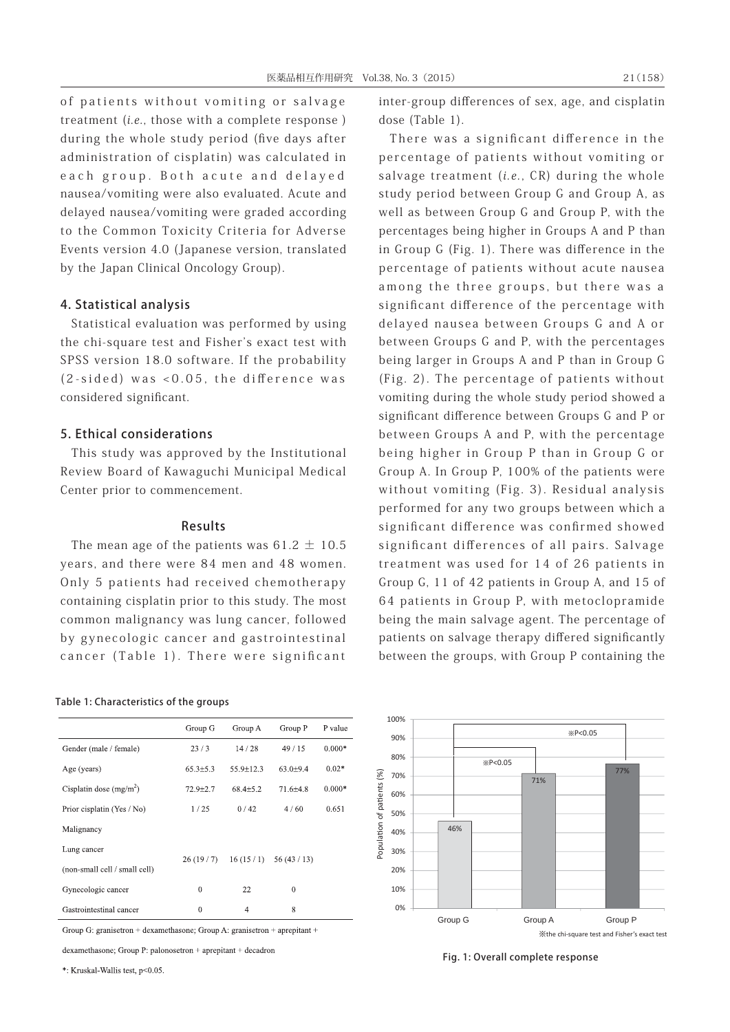of patients without vomiting or salvage treatment (i.e., those with a complete response ) during the whole study period (five days after administration of cisplatin) was calculated in each group. Both acute and delayed nausea/vomiting were also evaluated. Acute and delayed nausea/vomiting were graded according to the Common Toxicity Criteria for Adverse Events version 4.0 (Japanese version, translated by the Japan Clinical Oncology Group).

# 4. Statistical analysis

Statistical evaluation was performed by using the chi-square test and Fisher's exact test with SPSS version 18.0 software. If the probability (2-sided) was <0.05, the difference was considered significant.

### 5. Ethical considerations

This study was approved by the Institutional Review Board of Kawaguchi Municipal Medical Center prior to commencement.

### Results

The mean age of the patients was  $61.2 \pm 10.5$ years, and there were 84 men and 48 women. Only 5 patients had received chemotherapy containing cisplatin prior to this study. The most common malignancy was lung cancer, followed by gynecologic cancer and gastrointestinal cancer (Table 1). There were significant

#### Table 1: Characteristics of the groups

|                               | Group G        | Group A        | Group P        | P value  |
|-------------------------------|----------------|----------------|----------------|----------|
| Gender (male / female)        | 23/3           | 14/28          | 49/15          | $0.000*$ |
| Age (years)                   | $65.3 \pm 5.3$ | 55.9±12.3      | $63.0{\pm}9.4$ | $0.02*$  |
| Cisplatin dose $(mg/m2)$      | $72.9 \pm 2.7$ | $68.4{\pm}5.2$ | $71.6{\pm}4.8$ | $0.000*$ |
| Prior cisplatin (Yes / No)    | 1/25           | 0/42           | 4/60           | 0.651    |
| Malignancy                    |                |                |                |          |
| Lung cancer                   | 26(19/7)       | 16(15/1)       | 56(43/13)      |          |
| (non-small cell / small cell) |                |                |                |          |
| Gynecologic cancer            | $^{0}$         | 22             | $\theta$       |          |
| Gastrointestinal cancer       | $\theta$       | 4              | 8              |          |

Group G: granisetron + dexamethasone; Group A: granisetron + aprepitant +

dexamethasone: Group P: palonosetron + aprepitant + decadron

\*: Kruskal-Wallis test. p<0.05

inter-group differences of sex, age, and cisplatin dose (Table 1).

There was a significant difference in the percentage of patients without vomiting or salvage treatment (*i.e.*,  $CR$ ) during the whole study period between Group G and Group A, as well as between Group G and Group P, with the percentages being higher in Groups A and P than in Group G (Fig. 1). There was difference in the percentage of patients without acute nausea among the three groups, but there was a significant difference of the percentage with delayed nausea between Groups G and A or between Groups G and P, with the percentages being larger in Groups A and P than in Group G (Fig. 2). The percentage of patients without vomiting during the whole study period showed a significant difference between Groups G and P or between Groups A and P, with the percentage being higher in Group P than in Group G or Group A. In Group P, 100% of the patients were without vomiting (Fig. 3). Residual analysis performed for any two groups between which a significant difference was confirmed showed significant differences of all pairs. Salvage treatment was used for 14 of 26 patients in Group G, 11 of 42 patients in Group A, and 15 of 64 patients in Group P, with metoclopramide being the main salvage agent. The percentage of patients on salvage therapy differed significantly between the groups, with Group P containing the



Fig. 1: Overall complete response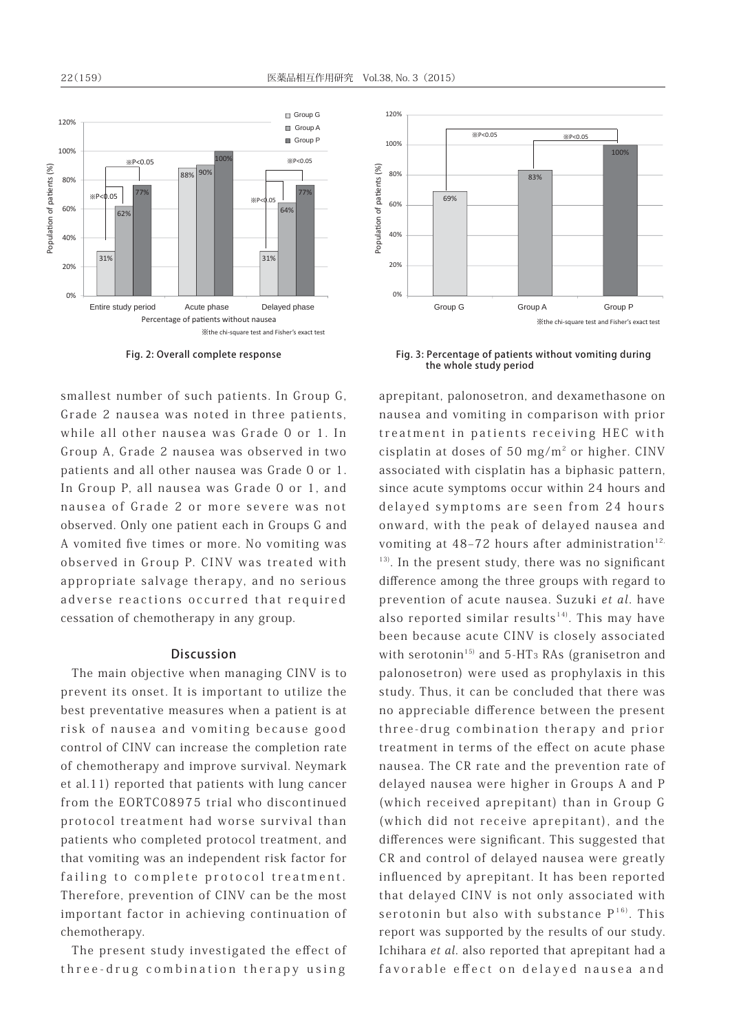

smallest number of such patients. In Group G, Grade 2 nausea was noted in three patients, while all other nausea was Grade 0 or 1. In Group A, Grade 2 nausea was observed in two patients and all other nausea was Grade 0 or 1. In Group P, all nausea was Grade 0 or 1, and nausea of Grade 2 or more severe was not observed. Only one patient each in Groups G and A vomited five times or more. No vomiting was observed in Group P. CINV was treated with appropriate salvage therapy, and no serious adverse reactions occurred that required cessation of chemotherapy in any group.

# Discussion

The main objective when managing CINV is to prevent its onset. It is important to utilize the best preventative measures when a patient is at risk of nausea and vomiting because good control of CINV can increase the completion rate of chemotherapy and improve survival. Neymark et al.11) reported that patients with lung cancer from the EORTC08975 trial who discontinued protocol treatment had worse survival than patients who completed protocol treatment, and that vomiting was an independent risk factor for failing to complete protocol treatment. Therefore, prevention of CINV can be the most important factor in achieving continuation of chemotherapy.

The present study investigated the effect of three-drug combination therapy using



Fig. 2: Overall complete response Fig. 3: Percentage of patients without vomiting during the whole study period

aprepitant, palonosetron, and dexamethasone on nausea and vomiting in comparison with prior treatment in patients receiving HEC with cisplatin at doses of 50 mg/ $m^2$  or higher. CINV associated with cisplatin has a biphasic pattern, since acute symptoms occur within 24 hours and delayed symptoms are seen from 24 hours onward, with the peak of delayed nausea and vomiting at  $48-72$  hours after administration<sup>12,</sup>  $13)$ . In the present study, there was no significant difference among the three groups with regard to prevention of acute nausea. Suzuki et al. have also reported similar results<sup>14)</sup>. This may have been because acute CINV is closely associated with serotonin<sup>15)</sup> and 5-HT<sub>3</sub> RAs (granisetron and palonosetron) were used as prophylaxis in this study. Thus, it can be concluded that there was no appreciable difference between the present three-drug combination therapy and prior treatment in terms of the effect on acute phase nausea. The CR rate and the prevention rate of delayed nausea were higher in Groups A and P (which received aprepitant) than in Group G (which did not receive aprepitant), and the differences were significant. This suggested that CR and control of delayed nausea were greatly influenced by aprepitant. It has been reported that delayed CINV is not only associated with serotonin but also with substance  $P^{16}$ . This report was supported by the results of our study. Ichihara et al. also reported that aprepitant had a favorable effect on delayed nausea and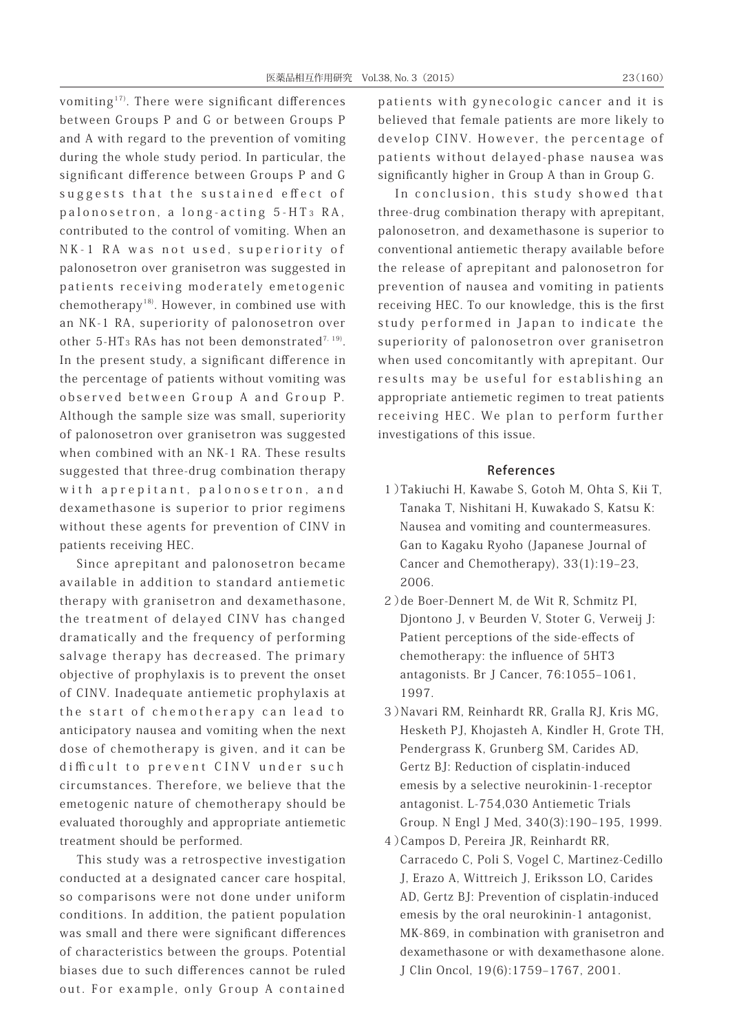vomiting<sup>17)</sup>. There were significant differences between Groups P and G or between Groups P and A with regard to the prevention of vomiting during the whole study period. In particular, the significant difference between Groups P and G suggests that the sustained effect of palonosetron, a long-acting 5-HT 3 RA, contributed to the control of vomiting. When an NK-1 RA was not used, superiority of palonosetron over granisetron was suggested in patients receiving moderately emetogenic chemotherapy18). However, in combined use with an NK-1 RA, superiority of palonosetron over other 5-HT<sub>3</sub> RAs has not been demonstrated<sup>7, 19)</sup>. In the present study, a significant difference in the percentage of patients without vomiting was observed between Group A and Group P. Although the sample size was small, superiority of palonosetron over granisetron was suggested when combined with an NK-1 RA. These results suggested that three-drug combination therapy with aprepitant, palonosetron, and dexamethasone is superior to prior regimens without these agents for prevention of CINV in patients receiving HEC.

 Since aprepitant and palonosetron became available in addition to standard antiemetic therapy with granisetron and dexamethasone, the treatment of delayed CINV has changed dramatically and the frequency of performing salvage therapy has decreased. The primary objective of prophylaxis is to prevent the onset of CINV. Inadequate antiemetic prophylaxis at the start of chemotherapy can lead to anticipatory nausea and vomiting when the next dose of chemotherapy is given, and it can be difficult to prevent CINV under such circumstances. Therefore, we believe that the emetogenic nature of chemotherapy should be evaluated thoroughly and appropriate antiemetic treatment should be performed.

 This study was a retrospective investigation conducted at a designated cancer care hospital, so comparisons were not done under uniform conditions. In addition, the patient population was small and there were significant differences of characteristics between the groups. Potential biases due to such differences cannot be ruled out. For example, only Group A contained

patients with gynecologic cancer and it is believed that female patients are more likely to develop CINV. However, the percentage of patients without delayed-phase nausea was significantly higher in Group A than in Group G.

 In conclusion, this study showed that three-drug combination therapy with aprepitant, palonosetron, and dexamethasone is superior to conventional antiemetic therapy available before the release of aprepitant and palonosetron for prevention of nausea and vomiting in patients receiving HEC. To our knowledge, this is the first study performed in Japan to indicate the superiority of palonosetron over granisetron when used concomitantly with aprepitant. Our results may be useful for establishing an appropriate antiemetic regimen to treat patients receiving HEC. We plan to perform further investigations of this issue.

### References

- 1)Takiuchi H, Kawabe S, Gotoh M, Ohta S, Kii T, Tanaka T, Nishitani H, Kuwakado S, Katsu K: Nausea and vomiting and countermeasures. Gan to Kagaku Ryoho (Japanese Journal of Cancer and Chemotherapy), 33(1):19-23, 2006.
- 2)de Boer-Dennert M, de Wit R, Schmitz PI, Djontono J, v Beurden V, Stoter G, Verweij J: Patient perceptions of the side-effects of chemotherapy: the influence of 5HT3 antagonists. Br J Cancer, 76:1055-1061, 1997.
- 3)Navari RM, Reinhardt RR, Gralla RJ, Kris MG, Hesketh PJ, Khojasteh A, Kindler H, Grote TH, Pendergrass K, Grunberg SM, Carides AD, Gertz BJ: Reduction of cisplatin-induced emesis by a selective neurokinin-1-receptor antagonist. L-754,030 Antiemetic Trials Group. N Engl J Med, 340(3):190-195, 1999.
- 4)Campos D, Pereira JR, Reinhardt RR, Carracedo C, Poli S, Vogel C, Martinez-Cedillo J, Erazo A, Wittreich J, Eriksson LO, Carides AD, Gertz BJ: Prevention of cisplatin-induced emesis by the oral neurokinin-1 antagonist, MK-869, in combination with granisetron and dexamethasone or with dexamethasone alone. J Clin Oncol, 19(6):1759-1767, 2001.